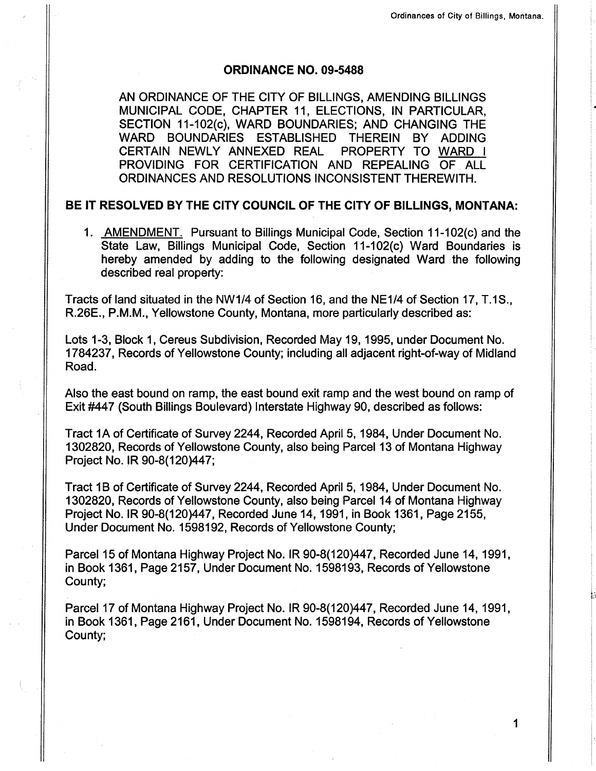1

## ORDINANGE NO.09.5488

AN ORDINANCE OF THE CITY OF BILLINGS, AMENDING BILLINGS MUNICIPAL CODE, CHAPTER 11, ELECTIONS, IN PARTICULAR, SECTION 11-102(c), WARD BOUNDARIES; AND CHANGING THE WARD BOUNDARIES ESTABLISHED THEREIN BY ADDING CERTAIN NEWLY ANNEXED REAL PROPERTY TO WARD <sup>I</sup> PROVIDING FOR CERTIFICATION AND REPEALING OF ALL ORDINANCES AND RESOLUTIONS INCONSISTENT THEREWITH.

BE IT RESOLVED BY THE CITY GOUNGIL OF THE CITY OF BILLINGS, MONTANA:

1. AMENDMENT. Pursuant to Billings Municipal Code, Section 11-102(c) and the State Law, Billings Municipal Code, Section 11-102(c) Ward Boundaries is hereby amended by adding to the following designated Ward the following described real property:

Tracts of land situated in the NWl/4 of Section 16, and the NE1/4 of Section 17, T.1S., R.26E., P.M.M., Yellowstone County, Montana, more particularly described as:

Lots 1-3, Block 1 , Cereus Subdivision, Recorded May 19, 1995, under Document No. 1784237, Records of Yellowstone County; includlng all adjacent right-of-way of Midland Road.

Also the east bound on ramp, the east bound exit ramp and the west bound on ramp of Exit#447 (South Billings Boulevard) Interstate Highway 90, described as follows:

Tract 1A of Certificate of Survey 2244, Recorded April 5, 1984, Under Document No. 1302820, Records of Yellowstone County, also being Parcel 13 of Montana Highway Project No. IR 90-8(120)447;

Tract 1B of Certificate of Survey 2244, Recorded April 5, 1984, Under Document No. 1302820, Records of Yellowstone County, also being Parcel 14 of Montana Highway Project No. lR 90-8(120)447, Recorded June 14,1991, in Book 1361, Page 2155, Under Document No. 1598192, Records of Yellowstone County;

Parcel 15 of Montana Highway Project No. IR 90-8(120)447, Recorded June 14, 1991, in Book 1361 , Page 2157 , Under Document No. 1598193, Records of Yellowstone County;

Parcel 17 of Montana Highway Project No. IR 90-8(120)447, Recorded June 14, 1991, in Book 1361, Page 2161, Under Document No. 1598194, Records of Yellowstone County;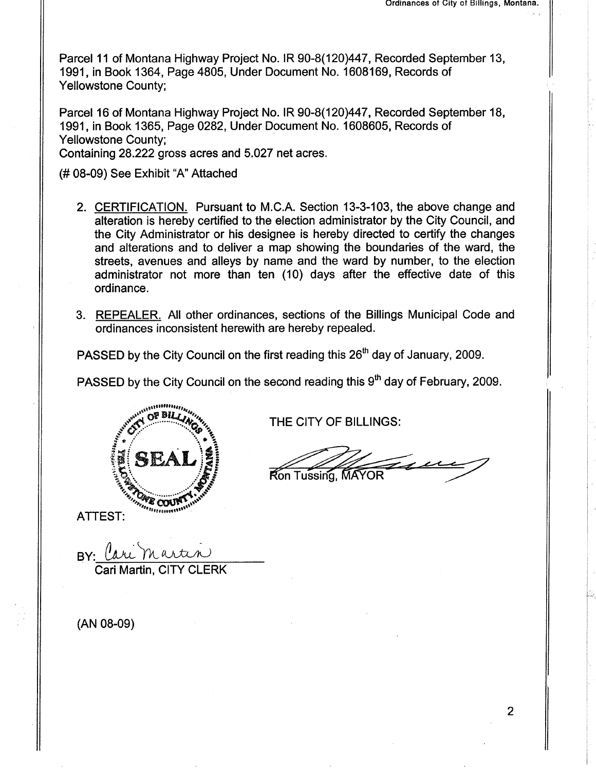Parcel 11 of Montana Highway Project No. IR 90-8(120)447, Recorded September 13, 1991, in Book 1364, Page 4805, Under Document No. 1608169, Records of Yellowstone County;

Parcel 16 of Montana Highway Project No. lR 90-8(120)447 , Recorded September 18, 1991, in Book 1365, Page 0282, Under Document No. 1608605, Records of Yellowstone County; Containing 28.222 gross acres and 5.027 net acres.

(# 08-09) See Exhibit "A" Attached

- 2. CERTIFICATION. Pursuant to M.C.A. Section 13-3-103, the above change and alteration is hereby certified to the election administrator by the City Council, and the City Administrator or his designee is hereby directed to certify the changes and alterations and to deliver a map showing the boundaries of the ward, the streets, avenues and alleys by name and the ward by number, to the election administrator not more than ten (10) days after the effective date of this ordinance.
- 3. REPEALER. All other ordinances, sections of the Billings Municipal Code and ordinances inconsistent herewith are hereby repealed.

PASSED by the City Council on the first reading this 26<sup>th</sup> day of January, 2009.

PASSED by the City Council on the second reading this  $9<sup>th</sup>$  day of February, 2009.



Cari Martin, CITY CLERK

(AN 08-0e)

THE CITY OF BILLINGS:

Ron Tussing, MAYOR

il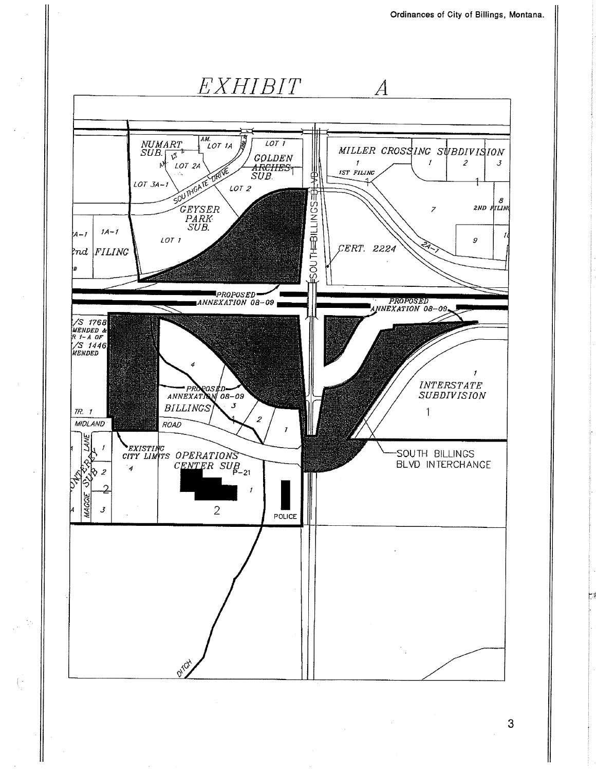

ţ.

 $\{\cdot$ 

3